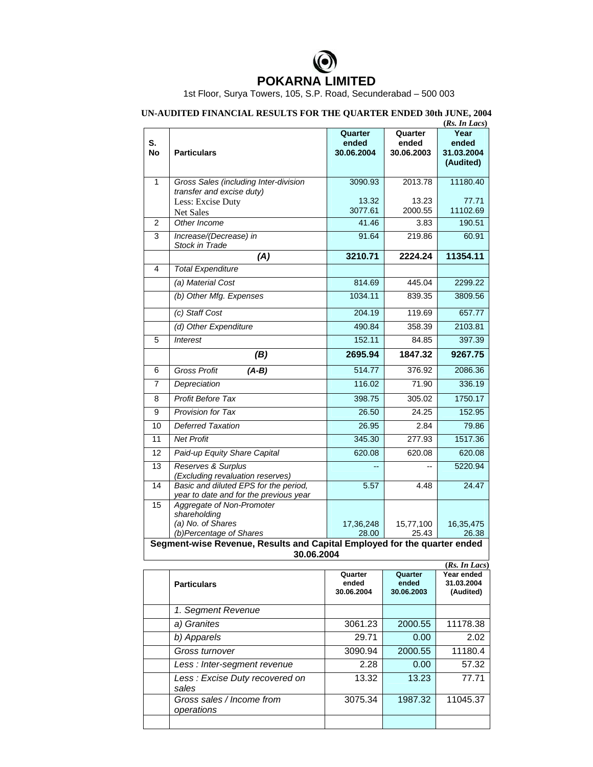

1st Floor, Surya Towers, 105, S.P. Road, Secunderabad – 500 003

## **UN-AUDITED FINANCIAL RESULTS FOR THE QUARTER ENDED 30th JUNE, 2004 (***Rs. In Lacs***)**

|                                                                                        |                                                                                 |            |            | (Ks. In Lacs) |  |  |  |
|----------------------------------------------------------------------------------------|---------------------------------------------------------------------------------|------------|------------|---------------|--|--|--|
|                                                                                        |                                                                                 | Quarter    | Quarter    | Year          |  |  |  |
| S.                                                                                     |                                                                                 | ended      | ended      | ended         |  |  |  |
| No                                                                                     | <b>Particulars</b>                                                              | 30.06.2004 | 30.06.2003 | 31.03.2004    |  |  |  |
|                                                                                        |                                                                                 |            |            | (Audited)     |  |  |  |
| 1                                                                                      | Gross Sales (including Inter-division                                           | 3090.93    | 2013.78    | 11180.40      |  |  |  |
|                                                                                        | transfer and excise duty)                                                       |            |            |               |  |  |  |
|                                                                                        | Less: Excise Duty                                                               | 13.32      | 13.23      | 77.71         |  |  |  |
|                                                                                        | Net Sales                                                                       | 3077.61    | 2000.55    | 11102.69      |  |  |  |
| 2                                                                                      | Other Income                                                                    | 41.46      | 3.83       | 190.51        |  |  |  |
| 3                                                                                      | Increase/(Decrease) in                                                          | 91.64      | 219.86     | 60.91         |  |  |  |
|                                                                                        | Stock in Trade                                                                  |            |            |               |  |  |  |
|                                                                                        | (A)                                                                             | 3210.71    | 2224.24    | 11354.11      |  |  |  |
| 4                                                                                      | <b>Total Expenditure</b>                                                        |            |            |               |  |  |  |
|                                                                                        | (a) Material Cost                                                               | 814.69     | 445.04     | 2299.22       |  |  |  |
|                                                                                        | (b) Other Mfg. Expenses                                                         | 1034.11    | 839.35     | 3809.56       |  |  |  |
|                                                                                        | (c) Staff Cost                                                                  | 204.19     | 119.69     | 657.77        |  |  |  |
|                                                                                        | (d) Other Expenditure                                                           | 490.84     | 358.39     | 2103.81       |  |  |  |
| 5                                                                                      | <b>Interest</b>                                                                 | 152.11     | 84.85      | 397.39        |  |  |  |
|                                                                                        | (B)                                                                             | 2695.94    | 1847.32    | 9267.75       |  |  |  |
| 6                                                                                      | <b>Gross Profit</b><br>$(A-B)$                                                  | 514.77     | 376.92     | 2086.36       |  |  |  |
| 7                                                                                      | Depreciation                                                                    | 116.02     | 71.90      | 336.19        |  |  |  |
| 8                                                                                      | <b>Profit Before Tax</b>                                                        | 398.75     | 305.02     | 1750.17       |  |  |  |
| 9                                                                                      | Provision for Tax                                                               | 26.50      | 24.25      | 152.95        |  |  |  |
| 10                                                                                     | <b>Deferred Taxation</b>                                                        | 26.95      | 2.84       | 79.86         |  |  |  |
| 11                                                                                     | <b>Net Profit</b>                                                               | 345.30     | 277.93     | 1517.36       |  |  |  |
| 12                                                                                     | Paid-up Equity Share Capital                                                    | 620.08     | 620.08     | 620.08        |  |  |  |
| 13                                                                                     | Reserves & Surplus                                                              |            | $-$        | 5220.94       |  |  |  |
| 14                                                                                     | (Excluding revaluation reserves)                                                |            |            |               |  |  |  |
|                                                                                        | Basic and diluted EPS for the period,<br>year to date and for the previous year | 5.57       | 4.48       | 24.47         |  |  |  |
| 15                                                                                     | Aggregate of Non-Promoter                                                       |            |            |               |  |  |  |
|                                                                                        | shareholding                                                                    |            |            |               |  |  |  |
|                                                                                        | (a) No. of Shares                                                               | 17,36,248  | 15,77,100  | 16,35,475     |  |  |  |
|                                                                                        | (b)Percentage of Shares                                                         | 28.00      | 25.43      | 26.38         |  |  |  |
| Segment-wise Revenue, Results and Capital Employed for the quarter ended<br>30.06.2004 |                                                                                 |            |            |               |  |  |  |
|                                                                                        |                                                                                 |            |            | (Rs. In Lacs) |  |  |  |
|                                                                                        |                                                                                 | Quarter    | Quarter    | Year ended    |  |  |  |
|                                                                                        | <b>Particulars</b>                                                              | ended      | ended      | 31.03.2004    |  |  |  |
|                                                                                        |                                                                                 | 30.06.2004 | 30.06.2003 | (Audited)     |  |  |  |
|                                                                                        | 1. Segment Revenue                                                              |            |            |               |  |  |  |
|                                                                                        | a) Granites                                                                     | 3061.23    | 2000.55    | 11178.38      |  |  |  |
|                                                                                        | b) Apparels                                                                     | 29.71      | 0.00       | 2.02          |  |  |  |

| <b>Particulars</b>                      | Quarter<br>ended<br>30.06.2004 | Quarter<br>ended<br>30.06.2003 | Year ended<br>31.03.2004<br>(Audited) |
|-----------------------------------------|--------------------------------|--------------------------------|---------------------------------------|
| 1. Segment Revenue                      |                                |                                |                                       |
| a) Granites                             | 3061.23                        | 2000.55                        | 11178.38                              |
| b) Apparels                             | 29.71                          | 0.00                           | 2.02                                  |
| Gross turnover                          | 3090.94                        | 2000.55                        | 11180.4                               |
| Less: Inter-segment revenue             | 2.28                           | 0.00                           | 57.32                                 |
| Less: Excise Duty recovered on<br>sales | 13.32                          | 13.23                          | 77.71                                 |
| Gross sales / Income from<br>operations | 3075.34                        | 1987.32                        | 11045.37                              |
|                                         |                                |                                |                                       |